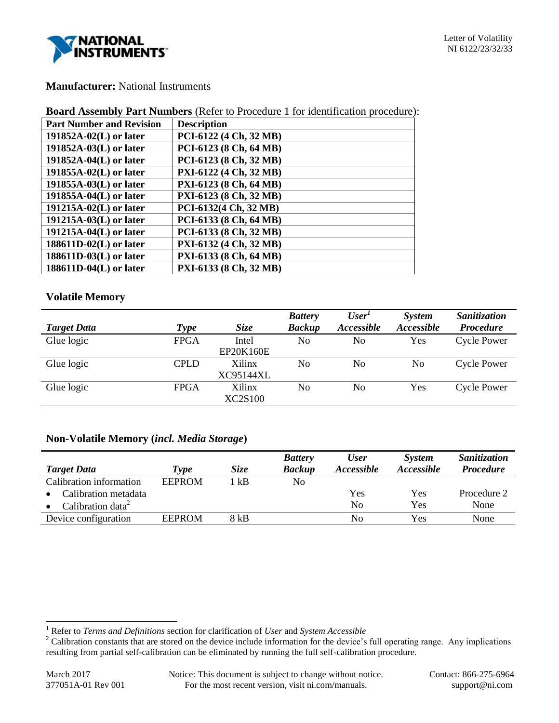

# **Manufacturer:** National Instruments

| <b>Board Assembly Part Numbers</b> (Refer to Procedure 1 for identification procedure): |  |  |  |
|-----------------------------------------------------------------------------------------|--|--|--|
|-----------------------------------------------------------------------------------------|--|--|--|

| <b>Part Number and Revision</b> | <b>Description</b>     |
|---------------------------------|------------------------|
| 191852A-02(L) or later          | PCI-6122 (4 Ch, 32 MB) |
| 191852A-03(L) or later          | PCI-6123 (8 Ch, 64 MB) |
| $191852A-04(L)$ or later        | PCI-6123 (8 Ch, 32 MB) |
| 191855A-02(L) or later          | PXI-6122 (4 Ch, 32 MB) |
| $191855A-03(L)$ or later        | PXI-6123 (8 Ch, 64 MB) |
| 191855A-04(L) or later          | PXI-6123 (8 Ch, 32 MB) |
| 191215A-02(L) or later          | PCI-6132(4 Ch, 32 MB)  |
| $191215A-03(L)$ or later        | PCI-6133 (8 Ch, 64 MB) |
| $191215A-04(L)$ or later        | PCI-6133 (8 Ch, 32 MB) |
| 188611D-02(L) or later          | PXI-6132 (4 Ch, 32 MB) |
| $188611D-03(L)$ or later        | PXI-6133 (8 Ch, 64 MB) |
| $188611D-04(L)$ or later        | PXI-6133 (8 Ch, 32 MB) |

# **Volatile Memory**

|                    |             |                | <b>Battery</b> | User <sup>1</sup>        | System                   | Sanitization       |
|--------------------|-------------|----------------|----------------|--------------------------|--------------------------|--------------------|
| <b>Target Data</b> | Type        | <b>Size</b>    | <b>Backup</b>  | <i><b>Accessible</b></i> | <i><b>Accessible</b></i> | <b>Procedure</b>   |
| Glue logic         | <b>FPGA</b> | Intel          | No             | No                       | Yes                      | <b>Cycle Power</b> |
|                    |             | EP20K160E      |                |                          |                          |                    |
| Glue logic         | <b>CPLD</b> | <b>Xilinx</b>  | N <sub>0</sub> | No                       | No                       | Cycle Power        |
|                    |             | XC95144XL      |                |                          |                          |                    |
| Glue logic         | <b>FPGA</b> | <b>Xilinx</b>  | No             | N <sub>0</sub>           | Yes                      | <b>Cycle Power</b> |
|                    |             | <b>XC2S100</b> |                |                          |                          |                    |

# **Non-Volatile Memory (***incl. Media Storage***)**

| <b>Target Data</b>            | <i>Lype</i>   | Size | <b>Battery</b><br><b>Backup</b> | <b>User</b><br><i>Accessible</i> | System<br><i>Accessible</i> | Sanitization<br><b>Procedure</b> |
|-------------------------------|---------------|------|---------------------------------|----------------------------------|-----------------------------|----------------------------------|
| Calibration information       | <b>EEPROM</b> | 1 kB | No                              |                                  |                             |                                  |
| Calibration metadata          |               |      |                                 | Yes                              | Yes                         | Procedure 2                      |
| Calibration data <sup>2</sup> |               |      |                                 | N <sub>0</sub>                   | Yes                         | None                             |
| Device configuration          | <b>EEPROM</b> | 8 kB |                                 | No                               | Yes                         | None                             |

l

<sup>1</sup> Refer to *Terms and Definitions* section for clarification of *User* and *System Accessible*

 $2^2$  Calibration constants that are stored on the device include information for the device's full operating range. Any implications resulting from partial self-calibration can be eliminated by running the full self-calibration procedure.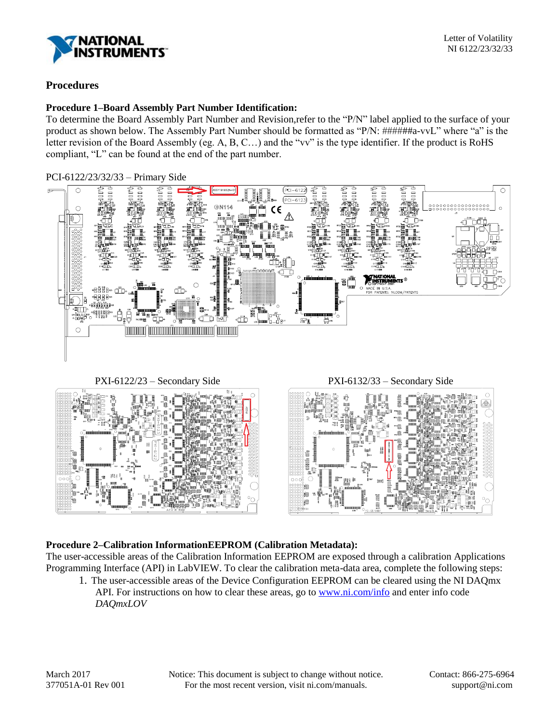

## **Procedures**

## **Procedure 1–Board Assembly Part Number Identification:**

To determine the Board Assembly Part Number and Revision,refer to the "P/N" label applied to the surface of your product as shown below. The Assembly Part Number should be formatted as "P/N: ######a-vvL" where "a" is the letter revision of the Board Assembly (eg. A, B, C…) and the "vv" is the type identifier. If the product is RoHS compliant, "L" can be found at the end of the part number.

### PCI-6122/23/32/33 – Primary Side



PXI-6122/23 – Secondary Side PXI-6132/33 – Secondary Side





## **Procedure 2–Calibration InformationEEPROM (Calibration Metadata):**

The user-accessible areas of the Calibration Information EEPROM are exposed through a calibration Applications Programming Interface (API) in LabVIEW. To clear the calibration meta-data area, complete the following steps:

1. The user-accessible areas of the Device Configuration EEPROM can be cleared using the NI DAQmx API. For instructions on how to clear these areas, go to [www.ni.com/info](http://www.ni.com/info) and enter info code *DAQmxLOV*